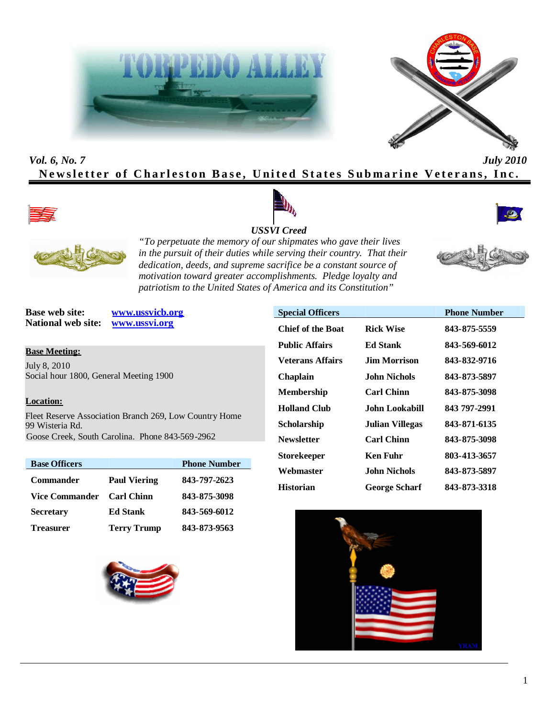



# *Vol. 6, No. 7 July 2010* **Newsletter of Charleston Base, United States Submarine Veterans, Inc.**





#### *USSVI Creed*





*"To perpetuate the memory of our shipmates who gave their lives in the pursuit of their duties while serving their country. That their dedication, deeds, and supreme sacrifice be a constant source of motivation toward greater accomplishments. Pledge loyalty and patriotism to the United States of America and its Constitution"*



**Base web site: www.ussvicb.org National web site: www.ussvi.org**

**Base Meeting:**

July 8, 2010 Social hour 1800, General Meeting 1900

#### **Location:**

Fleet Reserve Association Branch 269, Low Country Home 99 Wisteria Rd. Goose Creek, South Carolina. Phone 843-569-2962

| <b>Base Officers</b>  |                     | <b>Phone Number</b> |
|-----------------------|---------------------|---------------------|
| <b>Commander</b>      | <b>Paul Viering</b> | 843-797-2623        |
| <b>Vice Commander</b> | <b>Carl Chinn</b>   | 843-875-3098        |
| <b>Secretary</b>      | <b>Ed Stank</b>     | 843-569-6012        |
| <b>Treasurer</b>      | <b>Terry Trump</b>  | 843-873-9563        |



| <b>Special Officers</b>  |                        | <b>Phone Number</b> |  |
|--------------------------|------------------------|---------------------|--|
| <b>Chief of the Boat</b> | <b>Rick Wise</b>       | 843-875-5559        |  |
| <b>Public Affairs</b>    | Ed Stank               | 843-569-6012        |  |
| <b>Veterans Affairs</b>  | <b>Jim Morrison</b>    | 843-832-9716        |  |
| <b>Chaplain</b>          | John Nichols           | 843-873-5897        |  |
| <b>Membership</b>        | <b>Carl Chinn</b>      | 843-875-3098        |  |
| <b>Holland Club</b>      | John Lookabill         | 843 797-2991        |  |
| Scholarship              | <b>Julian Villegas</b> | 843-871-6135        |  |
| <b>Newsletter</b>        | <b>Carl Chinn</b>      | 843-875-3098        |  |
| <b>Storekeeper</b>       | <b>Ken Fuhr</b>        | 803-413-3657        |  |
| Webmaster                | John Nichols           | 843-873-5897        |  |
| <b>Historian</b>         | <b>George Scharf</b>   | 843-873-3318        |  |

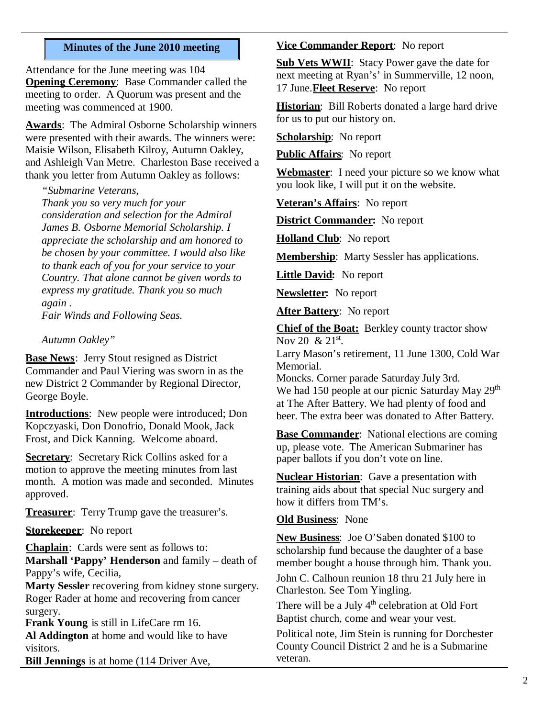### **Minutes of the June 2010 meeting**

Attendance for the June meeting was 104 **Opening Ceremony**: Base Commander called the meeting to order. A Quorum was present and the meeting was commenced at 1900.

**Awards**: The Admiral Osborne Scholarship winners were presented with their awards. The winners were: Maisie Wilson, Elisabeth Kilroy, Autumn Oakley, and Ashleigh Van Metre. Charleston Base received a thank you letter from Autumn Oakley as follows:

*"Submarine Veterans,*

*Thank you so very much for your consideration and selection for the Admiral James B. Osborne Memorial Scholarship. I appreciate the scholarship and am honored to be chosen by your committee. I would also like to thank each of you for your service to your Country. That alone cannot be given words to express my gratitude. Thank you so much again .*

*Fair Winds and Following Seas.*

*Autumn Oakley"*

**Base News**: Jerry Stout resigned as District Commander and Paul Viering was sworn in as the new District 2 Commander by Regional Director, George Boyle.

**Introductions**: New people were introduced; Don Kopczyaski, Don Donofrio, Donald Mook, Jack Frost, and Dick Kanning. Welcome aboard.

**Secretary**: Secretary Rick Collins asked for a motion to approve the meeting minutes from last month. A motion was made and seconded. Minutes approved.

**Treasurer**: Terry Trump gave the treasurer's.

**Storekeeper**: No report

**Chaplain**: Cards were sent as follows to: **Marshall 'Pappy' Henderson** and family – death of Pappy's wife, Cecilia,

**Marty Sessler** recovering from kidney stone surgery. Roger Rader at home and recovering from cancer surgery.

**Frank Young** is still in LifeCare rm 16. **Al Addington** at home and would like to have visitors.

**Bill Jennings** is at home (114 Driver Ave,

### **Vice Commander Report**: No report

**Sub Vets WWII**: Stacy Power gave the date for next meeting at Ryan's' in Summerville, 12 noon, 17 June.**Fleet Reserve**: No report

**Historian**: Bill Roberts donated a large hard drive for us to put our history on.

**Scholarship**: No report

**Public Affairs**: No report

**Webmaster**: I need your picture so we know what you look like, I will put it on the website.

**Veteran's Affairs**: No report

**District Commander:** No report

**Holland Club**: No report

**Membership**: Marty Sessler has applications.

**Little David:** No report

**Newsletter:** No report

**After Battery:** No report

**Chief of the Boat:** Berkley county tractor show Nov 20  $& 21^{\rm st}$ .

Larry Mason's retirement, 11 June 1300, Cold War Memorial.

Moncks. Corner parade Saturday July 3rd. We had 150 people at our picnic Saturday May 29<sup>th</sup> at The After Battery. We had plenty of food and beer. The extra beer was donated to After Battery.

**Base Commander**: National elections are coming up, please vote. The American Submariner has paper ballots if you don't vote on line.

**Nuclear Historian**: Gave a presentation with training aids about that special Nuc surgery and how it differs from TM's.

**Old Business**: None

**New Business**: Joe O'Saben donated \$100 to scholarship fund because the daughter of a base member bought a house through him. Thank you.

John C. Calhoun reunion 18 thru 21 July here in Charleston. See Tom Yingling.

There will be a July  $4<sup>th</sup>$  celebration at Old Fort Baptist church, come and wear your vest.

Political note, Jim Stein is running for Dorchester County Council District 2 and he is a Submarine veteran.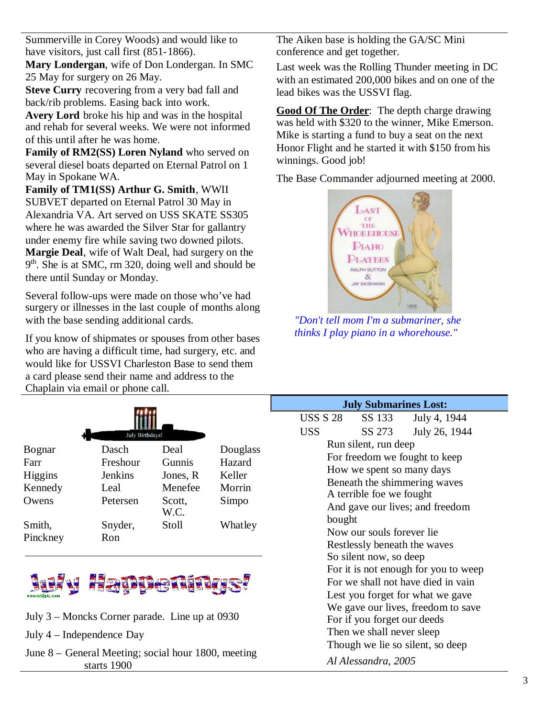Summerville in Corey Woods) and would like to have visitors, just call first (851-1866).

**Mary Londergan**, wife of Don Londergan. In SMC 25 May for surgery on 26 May.

**Steve Curry** recovering from a very bad fall and back/rib problems. Easing back into work.

**Avery Lord** broke his hip and was in the hospital and rehab for several weeks. We were not informed of this until after he was home.

**Family of RM2(SS) Loren Nyland** who served on several diesel boats departed on Eternal Patrol on 1 May in Spokane WA.

**Family of TM1(SS) Arthur G. Smith**, WWII SUBVET departed on Eternal Patrol 30 May in Alexandria VA. Art served on USS SKATE SS305 where he was awarded the Silver Star for gallantry under enemy fire while saving two downed pilots. **Margie Deal**, wife of Walt Deal, had surgery on the 9<sup>th</sup>. She is at SMC, rm 320, doing well and should be there until Sunday or Monday.

Several follow-ups were made on those who've had surgery or illnesses in the last couple of months along with the base sending additional cards.

If you know of shipmates or spouses from other bases who are having a difficult time, had surgery, etc. and would like for USSVI Charleston Base to send them a card please send their name and address to the Chaplain via email or phone call.

| July Birthdays! |          |                |          |  |  |  |
|-----------------|----------|----------------|----------|--|--|--|
| Bognar          | Dasch    | Deal           | Douglass |  |  |  |
| Farr            | Freshour | Gunnis         | Hazard   |  |  |  |
| Higgins         | Jenkins  | Jones, R       | Keller   |  |  |  |
| Kennedy         | Leal     | Menefee        | Morrin   |  |  |  |
| Owens           | Petersen | Scott,<br>W.C. | Simpo    |  |  |  |
| Smith,          | Snyder,  | Stoll          | Whatley  |  |  |  |
| Pinckney        | Ron      |                |          |  |  |  |



- July 3 Moncks Corner parade. Line up at 0930
- July 4 Independence Day
- June 8 General Meeting; social hour 1800, meeting starts 1900

The Aiken base is holding the GA/SC Mini conference and get together.

Last week was the Rolling Thunder meeting in DC with an estimated 200,000 bikes and on one of the lead bikes was the USSVI flag.

**Good Of The Order**: The depth charge drawing was held with \$320 to the winner, Mike Emerson. Mike is starting a fund to buy a seat on the next Honor Flight and he started it with \$150 from his winnings. Good job!

The Base Commander adjourned meeting at 2000.



*"Don't tell mom I'm a submariner, she thinks I play piano in a whorehouse."*

| <b>July Submarines Lost:</b>         |                           |                              |  |  |
|--------------------------------------|---------------------------|------------------------------|--|--|
|                                      |                           | USS S 28 SS 133 July 4, 1944 |  |  |
| <b>USS</b>                           | SS 273                    | July 26, 1944                |  |  |
| Run silent, run deep                 |                           |                              |  |  |
| For freedom we fought to keep        |                           |                              |  |  |
|                                      | How we spent so many days |                              |  |  |
| Beneath the shimmering waves         |                           |                              |  |  |
| A terrible foe we fought             |                           |                              |  |  |
| And gave our lives; and freedom      |                           |                              |  |  |
| bought                               |                           |                              |  |  |
| Now our souls forever lie            |                           |                              |  |  |
| Restlessly beneath the waves         |                           |                              |  |  |
| So silent now, so deep               |                           |                              |  |  |
| For it is not enough for you to weep |                           |                              |  |  |
| For we shall not have died in vain   |                           |                              |  |  |
| Lest you forget for what we gave     |                           |                              |  |  |
| We gave our lives, freedom to save   |                           |                              |  |  |
| For if you forget our deeds          |                           |                              |  |  |
| Then we shall never sleep            |                           |                              |  |  |
| Though we lie so silent, so deep     |                           |                              |  |  |
|                                      | Al Alessandra, 2005       |                              |  |  |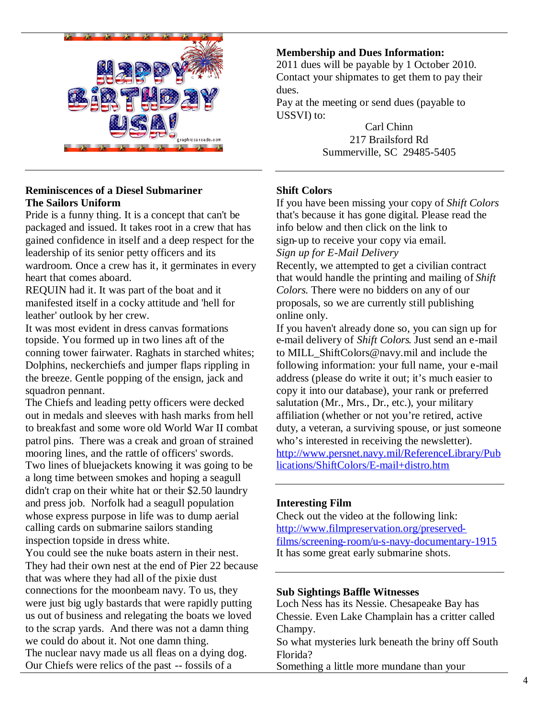

### **Reminiscences of a Diesel Submariner The Sailors Uniform**

Pride is a funny thing. It is a concept that can't be packaged and issued. It takes root in a crew that has gained confidence in itself and a deep respect for the leadership of its senior petty officers and its wardroom. Once a crew has it, it germinates in every heart that comes aboard.

REQUIN had it. It was part of the boat and it manifested itself in a cocky attitude and 'hell for leather' outlook by her crew.

It was most evident in dress canvas formations topside. You formed up in two lines aft of the conning tower fairwater. Raghats in starched whites; Dolphins, neckerchiefs and jumper flaps rippling in the breeze. Gentle popping of the ensign, jack and squadron pennant.

The Chiefs and leading petty officers were decked out in medals and sleeves with hash marks from hell to breakfast and some wore old World War II combat patrol pins. There was a creak and groan of strained mooring lines, and the rattle of officers' swords. Two lines of bluejackets knowing it was going to be a long time between smokes and hoping a seagull didn't crap on their white hat or their \$2.50 laundry and press job. Norfolk had a seagull population whose express purpose in life was to dump aerial calling cards on submarine sailors standing inspection topside in dress white.

You could see the nuke boats astern in their nest. They had their own nest at the end of Pier 22 because that was where they had all of the pixie dust connections for the moonbeam navy. To us, they were just big ugly bastards that were rapidly putting us out of business and relegating the boats we loved to the scrap yards. And there was not a damn thing we could do about it. Not one damn thing. The nuclear navy made us all fleas on a dying dog. Our Chiefs were relics of the past -- fossils of a

### **Membership and Dues Information:**

2011 dues will be payable by 1 October 2010. Contact your shipmates to get them to pay their dues.

Pay at the meeting or send dues (payable to USSVI) to:

> Carl Chinn 217 Brailsford Rd Summerville, SC 29485-5405

## **Shift Colors**

If you have been missing your copy of *Shift Colors* that's because it has gone digital. Please read the info below and then click on the link to sign-up to receive your copy via email. *Sign up for E-Mail Delivery*

Recently, we attempted to get a civilian contract that would handle the printing and mailing of *Shift Colors*. There were no bidders on any of our proposals, so we are currently still publishing online only.

If you haven't already done so, you can sign up for e-mail delivery of *Shift Colors*. Just send an e-mail to MILL\_ShiftColors@navy.mil and include the following information: your full name, your e-mail address (please do write it out; it's much easier to copy it into our database), your rank or preferred salutation (Mr., Mrs., Dr., etc.), your military affiliation (whether or not you're retired, active duty, a veteran, a surviving spouse, or just someone who's interested in receiving the newsletter). http://www.persnet.navy.mil/ReferenceLibrary/Pub lications/ShiftColors/E-mail+distro.htm

### **Interesting Film**

Check out the video at the following link: http://www.filmpreservation.org/preservedfilms/screening-room/u-s-navy-documentary-1915 It has some great early submarine shots.

#### **Sub Sightings Baffle Witnesses**

Loch Ness has its Nessie. Chesapeake Bay has Chessie. Even Lake Champlain has a critter called Champy.

So what mysteries lurk beneath the briny off South Florida?

Something a little more mundane than your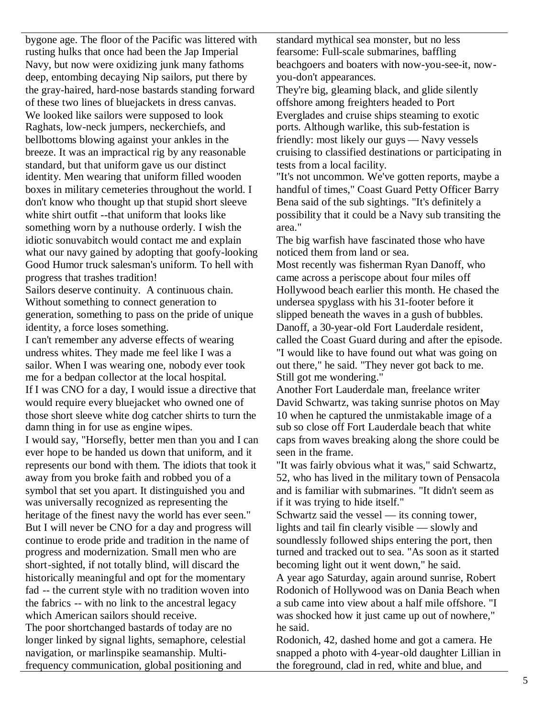bygone age. The floor of the Pacific was littered with rusting hulks that once had been the Jap Imperial Navy, but now were oxidizing junk many fathoms deep, entombing decaying Nip sailors, put there by the gray-haired, hard-nose bastards standing forward of these two lines of bluejackets in dress canvas. We looked like sailors were supposed to look Raghats, low-neck jumpers, neckerchiefs, and bellbottoms blowing against your ankles in the breeze. It was an impractical rig by any reasonable standard, but that uniform gave us our distinct identity. Men wearing that uniform filled wooden boxes in military cemeteries throughout the world. I don't know who thought up that stupid short sleeve white shirt outfit --that uniform that looks like something worn by a nuthouse orderly. I wish the idiotic sonuvabitch would contact me and explain what our navy gained by adopting that goofy-looking Good Humor truck salesman's uniform. To hell with progress that trashes tradition!

Sailors deserve continuity. A continuous chain. Without something to connect generation to generation, something to pass on the pride of unique identity, a force loses something.

I can't remember any adverse effects of wearing undress whites. They made me feel like I was a sailor. When I was wearing one, nobody ever took me for a bedpan collector at the local hospital. If I was CNO for a day, I would issue a directive that would require every bluejacket who owned one of those short sleeve white dog catcher shirts to turn the damn thing in for use as engine wipes.

I would say, "Horsefly, better men than you and I can ever hope to be handed us down that uniform, and it represents our bond with them. The idiots that took it away from you broke faith and robbed you of a symbol that set you apart. It distinguished you and was universally recognized as representing the heritage of the finest navy the world has ever seen." But I will never be CNO for a day and progress will continue to erode pride and tradition in the name of progress and modernization. Small men who are short-sighted, if not totally blind, will discard the historically meaningful and opt for the momentary fad -- the current style with no tradition woven into the fabrics -- with no link to the ancestral legacy which American sailors should receive. The poor shortchanged bastards of today are no longer linked by signal lights, semaphore, celestial navigation, or marlinspike seamanship. Multifrequency communication, global positioning and

standard mythical sea monster, but no less fearsome: Full-scale submarines, baffling beachgoers and boaters with now-you-see-it, nowyou-don't appearances.

They're big, gleaming black, and glide silently offshore among freighters headed to Port Everglades and cruise ships steaming to exotic ports. Although warlike, this sub-festation is friendly: most likely our guys — Navy vessels cruising to classified destinations or participating in tests from a local facility.

"It's not uncommon. We've gotten reports, maybe a handful of times," Coast Guard Petty Officer Barry Bena said of the sub sightings. "It's definitely a possibility that it could be a Navy sub transiting the area."

The big warfish have fascinated those who have noticed them from land or sea.

Most recently was fisherman Ryan Danoff, who came across a periscope about four miles off Hollywood beach earlier this month. He chased the undersea spyglass with his 31-footer before it slipped beneath the waves in a gush of bubbles. Danoff, a 30-year-old Fort Lauderdale resident, called the Coast Guard during and after the episode. "I would like to have found out what was going on out there," he said. "They never got back to me. Still got me wondering."

Another Fort Lauderdale man, freelance writer David Schwartz, was taking sunrise photos on May 10 when he captured the unmistakable image of a sub so close off Fort Lauderdale beach that white caps from waves breaking along the shore could be seen in the frame.

"It was fairly obvious what it was," said Schwartz, 52, who has lived in the military town of Pensacola and is familiar with submarines. "It didn't seem as if it was trying to hide itself."

Schwartz said the vessel — its conning tower, lights and tail fin clearly visible — slowly and soundlessly followed ships entering the port, then turned and tracked out to sea. "As soon as it started becoming light out it went down," he said.

A year ago Saturday, again around sunrise, Robert Rodonich of Hollywood was on Dania Beach when a sub came into view about a half mile offshore. "I was shocked how it just came up out of nowhere," he said.

Rodonich, 42, dashed home and got a camera. He snapped a photo with 4-year-old daughter Lillian in the foreground, clad in red, white and blue, and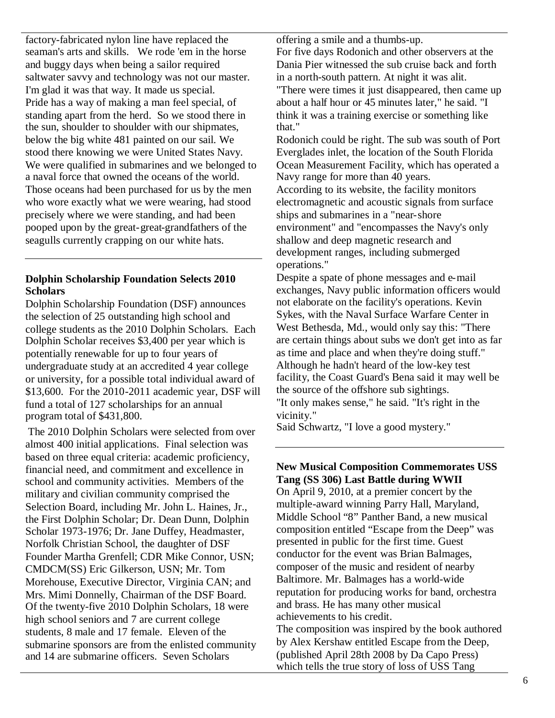factory-fabricated nylon line have replaced the seaman's arts and skills. We rode 'em in the horse and buggy days when being a sailor required saltwater savvy and technology was not our master. I'm glad it was that way. It made us special. Pride has a way of making a man feel special, of standing apart from the herd. So we stood there in the sun, shoulder to shoulder with our shipmates, below the big white 481 painted on our sail. We stood there knowing we were United States Navy. We were qualified in submarines and we belonged to a naval force that owned the oceans of the world. Those oceans had been purchased for us by the men who wore exactly what we were wearing, had stood precisely where we were standing, and had been pooped upon by the great-great-grandfathers of the seagulls currently crapping on our white hats.

### **Dolphin Scholarship Foundation Selects 2010 Scholars**

Dolphin Scholarship Foundation (DSF) announces the selection of 25 outstanding high school and college students as the 2010 Dolphin Scholars. Each Dolphin Scholar receives \$3,400 per year which is potentially renewable for up to four years of undergraduate study at an accredited 4 year college or university, for a possible total individual award of \$13,600. For the 2010-2011 academic year, DSF will fund a total of 127 scholarships for an annual program total of \$431,800.

The 2010 Dolphin Scholars were selected from over almost 400 initial applications. Final selection was based on three equal criteria: academic proficiency, financial need, and commitment and excellence in school and community activities. Members of the military and civilian community comprised the Selection Board, including Mr. John L. Haines, Jr., the First Dolphin Scholar; Dr. Dean Dunn, Dolphin Scholar 1973-1976; Dr. Jane Duffey, Headmaster, Norfolk Christian School, the daughter of DSF Founder Martha Grenfell; CDR Mike Connor, USN; CMDCM(SS) Eric Gilkerson, USN; Mr. Tom Morehouse, Executive Director, Virginia CAN; and Mrs. Mimi Donnelly, Chairman of the DSF Board. Of the twenty-five 2010 Dolphin Scholars, 18 were high school seniors and 7 are current college students, 8 male and 17 female. Eleven of the submarine sponsors are from the enlisted community and 14 are submarine officers. Seven Scholars

offering a smile and a thumbs-up.

For five days Rodonich and other observers at the Dania Pier witnessed the sub cruise back and forth in a north-south pattern. At night it was alit. "There were times it just disappeared, then came up about a half hour or 45 minutes later," he said. "I think it was a training exercise or something like that."

Rodonich could be right. The sub was south of Port Everglades inlet, the location of the South Florida Ocean Measurement Facility, which has operated a Navy range for more than 40 years.

According to its website, the facility monitors electromagnetic and acoustic signals from surface ships and submarines in a "near-shore environment" and "encompasses the Navy's only shallow and deep magnetic research and development ranges, including submerged operations."

Despite a spate of phone messages and e-mail exchanges, Navy public information officers would not elaborate on the facility's operations. Kevin Sykes, with the Naval Surface Warfare Center in West Bethesda, Md., would only say this: "There are certain things about subs we don't get into as far as time and place and when they're doing stuff." Although he hadn't heard of the low-key test facility, the Coast Guard's Bena said it may well be the source of the offshore sub sightings. "It only makes sense," he said. "It's right in the vicinity."

Said Schwartz, "I love a good mystery."

## **New Musical Composition Commemorates USS Tang (SS 306) Last Battle during WWII**

On April 9, 2010, at a premier concert by the multiple-award winning Parry Hall, Maryland, Middle School "8" Panther Band, a new musical composition entitled "Escape from the Deep" was presented in public for the first time. Guest conductor for the event was Brian Balmages, composer of the music and resident of nearby Baltimore. Mr. Balmages has a world-wide reputation for producing works for band, orchestra and brass. He has many other musical achievements to his credit.

The composition was inspired by the book authored by Alex Kershaw entitled Escape from the Deep, (published April 28th 2008 by Da Capo Press) which tells the true story of loss of USS Tang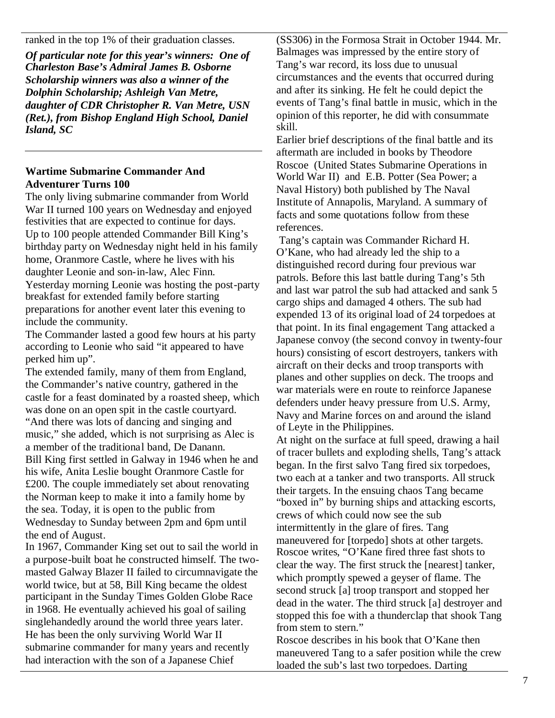ranked in the top 1% of their graduation classes.

*Of particular note for this year's winners: One of Charleston Base's Admiral James B. Osborne Scholarship winners was also a winner of the Dolphin Scholarship; Ashleigh Van Metre, daughter of CDR Christopher R. Van Metre, USN (Ret.), from Bishop England High School, Daniel Island, SC*

### **Wartime Submarine Commander And Adventurer Turns 100**

The only living submarine commander from World War II turned 100 years on Wednesday and enjoyed festivities that are expected to continue for days. Up to 100 people attended Commander Bill King's birthday party on Wednesday night held in his family home, Oranmore Castle, where he lives with his daughter Leonie and son-in-law, Alec Finn. Yesterday morning Leonie was hosting the post-party breakfast for extended family before starting preparations for another event later this evening to include the community.

The Commander lasted a good few hours at his party according to Leonie who said "it appeared to have perked him up".

The extended family, many of them from England, the Commander's native country, gathered in the castle for a feast dominated by a roasted sheep, which was done on an open spit in the castle courtyard. "And there was lots of dancing and singing and music," she added, which is not surprising as Alec is a member of the traditional band, De Danann. Bill King first settled in Galway in 1946 when he and his wife, Anita Leslie bought Oranmore Castle for £200. The couple immediately set about renovating the Norman keep to make it into a family home by the sea. Today, it is open to the public from Wednesday to Sunday between 2pm and 6pm until the end of August.

In 1967, Commander King set out to sail the world in a purpose-built boat he constructed himself. The twomasted Galway Blazer II failed to circumnavigate the world twice, but at 58, Bill King became the oldest participant in the Sunday Times Golden Globe Race in 1968. He eventually achieved his goal of sailing singlehandedly around the world three years later. He has been the only surviving World War II submarine commander for many years and recently had interaction with the son of a Japanese Chief

(SS306) in the Formosa Strait in October 1944. Mr. Balmages was impressed by the entire story of Tang's war record, its loss due to unusual circumstances and the events that occurred during and after its sinking. He felt he could depict the events of Tang's final battle in music, which in the opinion of this reporter, he did with consummate skill.

Earlier brief descriptions of the final battle and its aftermath are included in books by Theodore Roscoe (United States Submarine Operations in World War II) and E.B. Potter (Sea Power; a Naval History) both published by The Naval Institute of Annapolis, Maryland. A summary of facts and some quotations follow from these references.

Tang's captain was Commander Richard H. O'Kane, who had already led the ship to a distinguished record during four previous war patrols. Before this last battle during Tang's 5th and last war patrol the sub had attacked and sank 5 cargo ships and damaged 4 others. The sub had expended 13 of its original load of 24 torpedoes at that point. In its final engagement Tang attacked a Japanese convoy (the second convoy in twenty-four hours) consisting of escort destroyers, tankers with aircraft on their decks and troop transports with planes and other supplies on deck. The troops and war materials were en route to reinforce Japanese defenders under heavy pressure from U.S. Army, Navy and Marine forces on and around the island of Leyte in the Philippines.

At night on the surface at full speed, drawing a hail of tracer bullets and exploding shells, Tang's attack began. In the first salvo Tang fired six torpedoes, two each at a tanker and two transports. All struck their targets. In the ensuing chaos Tang became "boxed in" by burning ships and attacking escorts, crews of which could now see the sub intermittently in the glare of fires. Tang maneuvered for [torpedo] shots at other targets. Roscoe writes, "O'Kane fired three fast shots to clear the way. The first struck the [nearest] tanker, which promptly spewed a geyser of flame. The second struck [a] troop transport and stopped her dead in the water. The third struck [a] destroyer and stopped this foe with a thunderclap that shook Tang from stem to stern."

Roscoe describes in his book that O'Kane then maneuvered Tang to a safer position while the crew loaded the sub's last two torpedoes. Darting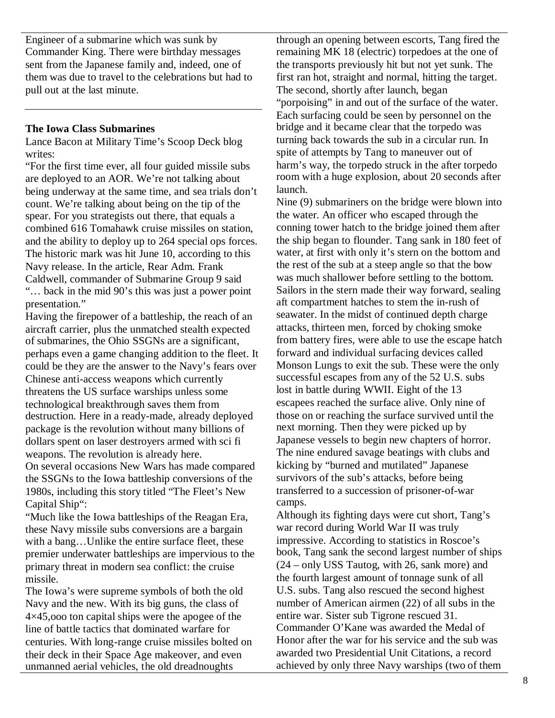Engineer of a submarine which was sunk by Commander King. There were birthday messages sent from the Japanese family and, indeed, one of them was due to travel to the celebrations but had to pull out at the last minute.

#### **The Iowa Class Submarines**

Lance Bacon at Military Time's Scoop Deck blog writes:

"For the first time ever, all four guided missile subs are deployed to an AOR. We're not talking about being underway at the same time, and sea trials don't count. We're talking about being on the tip of the spear. For you strategists out there, that equals a combined 616 Tomahawk cruise missiles on station, and the ability to deploy up to 264 special ops forces. The historic mark was hit June 10, according to this Navy release. In the article, Rear Adm. Frank Caldwell, commander of Submarine Group 9 said "… back in the mid 90's this was just a power point presentation."

Having the firepower of a battleship, the reach of an aircraft carrier, plus the unmatched stealth expected of submarines, the Ohio SSGNs are a significant, perhaps even a game changing addition to the fleet. It could be they are the answer to the Navy's fears over Chinese anti-access weapons which currently threatens the US surface warships unless some technological breakthrough saves them from destruction. Here in a ready-made, already deployed package is the revolution without many billions of dollars spent on laser destroyers armed with sci fi weapons. The revolution is already here.

On several occasions New Wars has made compared the SSGNs to the Iowa battleship conversions of the 1980s, including this story titled "The Fleet's New Capital Ship":

"Much like the Iowa battleships of the Reagan Era, these Navy missile subs conversions are a bargain with a bang…Unlike the entire surface fleet, these premier underwater battleships are impervious to the primary threat in modern sea conflict: the cruise missile.

The Iowa's were supreme symbols of both the old Navy and the new. With its big guns, the class of 4×45,ooo ton capital ships were the apogee of the line of battle tactics that dominated warfare for centuries. With long-range cruise missiles bolted on their deck in their Space Age makeover, and even unmanned aerial vehicles, the old dreadnoughts

through an opening between escorts, Tang fired the remaining MK 18 (electric) torpedoes at the one of the transports previously hit but not yet sunk. The first ran hot, straight and normal, hitting the target. The second, shortly after launch, began "porpoising" in and out of the surface of the water. Each surfacing could be seen by personnel on the bridge and it became clear that the torpedo was turning back towards the sub in a circular run. In spite of attempts by Tang to maneuver out of harm's way, the torpedo struck in the after torpedo room with a huge explosion, about 20 seconds after launch.

Nine (9) submariners on the bridge were blown into the water. An officer who escaped through the conning tower hatch to the bridge joined them after the ship began to flounder. Tang sank in 180 feet of water, at first with only it's stern on the bottom and the rest of the sub at a steep angle so that the bow was much shallower before settling to the bottom. Sailors in the stern made their way forward, sealing aft compartment hatches to stem the in-rush of seawater. In the midst of continued depth charge attacks, thirteen men, forced by choking smoke from battery fires, were able to use the escape hatch forward and individual surfacing devices called Monson Lungs to exit the sub. These were the only successful escapes from any of the 52 U.S. subs lost in battle during WWII. Eight of the 13 escapees reached the surface alive. Only nine of those on or reaching the surface survived until the next morning. Then they were picked up by Japanese vessels to begin new chapters of horror. The nine endured savage beatings with clubs and kicking by "burned and mutilated" Japanese survivors of the sub's attacks, before being transferred to a succession of prisoner-of-war camps.

Although its fighting days were cut short, Tang's war record during World War II was truly impressive. According to statistics in Roscoe's book, Tang sank the second largest number of ships (24 – only USS Tautog, with 26, sank more) and the fourth largest amount of tonnage sunk of all U.S. subs. Tang also rescued the second highest number of American airmen (22) of all subs in the entire war. Sister sub Tigrone rescued 31. Commander O'Kane was awarded the Medal of Honor after the war for his service and the sub was awarded two Presidential Unit Citations, a record achieved by only three Navy warships (two of them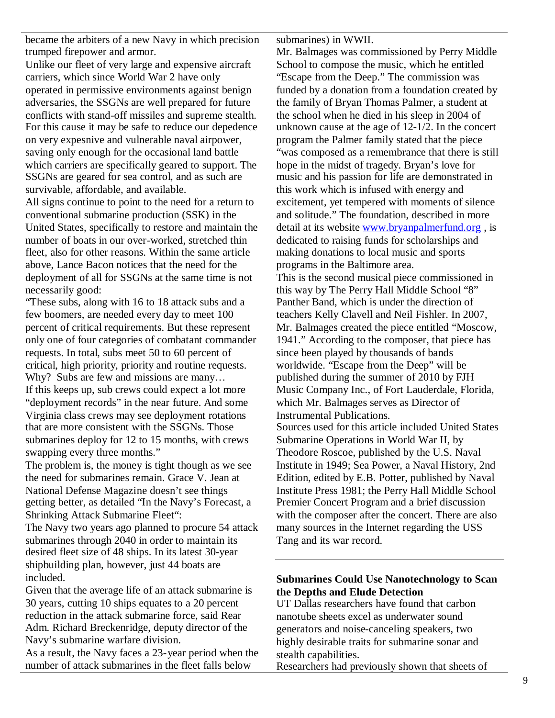became the arbiters of a new Navy in which precision trumped firepower and armor.

Unlike our fleet of very large and expensive aircraft carriers, which since World War 2 have only operated in permissive environments against benign adversaries, the SSGNs are well prepared for future conflicts with stand-off missiles and supreme stealth. For this cause it may be safe to reduce our depedence on very expesnive and vulnerable naval airpower, saving only enough for the occasional land battle which carriers are specifically geared to support. The SSGNs are geared for sea control, and as such are survivable, affordable, and available.

All signs continue to point to the need for a return to conventional submarine production (SSK) in the United States, specifically to restore and maintain the number of boats in our over-worked, stretched thin fleet, also for other reasons. Within the same article above, Lance Bacon notices that the need for the deployment of all for SSGNs at the same time is not necessarily good:

"These subs, along with 16 to 18 attack subs and a few boomers, are needed every day to meet 100 percent of critical requirements. But these represent only one of four categories of combatant commander requests. In total, subs meet 50 to 60 percent of critical, high priority, priority and routine requests. Why? Subs are few and missions are many… If this keeps up, sub crews could expect a lot more "deployment records" in the near future. And some Virginia class crews may see deployment rotations that are more consistent with the SSGNs. Those submarines deploy for 12 to 15 months, with crews swapping every three months."

The problem is, the money is tight though as we see the need for submarines remain. Grace V. Jean at National Defense Magazine doesn't see things getting better, as detailed "In the Navy's Forecast, a Shrinking Attack Submarine Fleet":

The Navy two years ago planned to procure 54 attack submarines through 2040 in order to maintain its desired fleet size of 48 ships. In its latest 30-year shipbuilding plan, however, just 44 boats are included.

Given that the average life of an attack submarine is 30 years, cutting 10 ships equates to a 20 percent reduction in the attack submarine force, said Rear Adm. Richard Breckenridge, deputy director of the Navy's submarine warfare division.

As a result, the Navy faces a 23-year period when the number of attack submarines in the fleet falls below

submarines) in WWII.

Mr. Balmages was commissioned by Perry Middle School to compose the music, which he entitled "Escape from the Deep." The commission was funded by a donation from a foundation created by the family of Bryan Thomas Palmer, a student at the school when he died in his sleep in 2004 of unknown cause at the age of 12-1/2. In the concert program the Palmer family stated that the piece "was composed as a remembrance that there is still hope in the midst of tragedy. Bryan's love for music and his passion for life are demonstrated in this work which is infused with energy and excitement, yet tempered with moments of silence and solitude." The foundation, described in more detail at its website www.bryanpalmerfund.org , is dedicated to raising funds for scholarships and making donations to local music and sports programs in the Baltimore area. This is the second musical piece commissioned in this way by The Perry Hall Middle School "8" Panther Band, which is under the direction of teachers Kelly Clavell and Neil Fishler. In 2007, Mr. Balmages created the piece entitled "Moscow, 1941." According to the composer, that piece has since been played by thousands of bands worldwide. "Escape from the Deep" will be published during the summer of 2010 by FJH Music Company Inc., of Fort Lauderdale, Florida, which Mr. Balmages serves as Director of Instrumental Publications. Sources used for this article included United States Submarine Operations in World War II, by Theodore Roscoe, published by the U.S. Naval Institute in 1949; Sea Power, a Naval History, 2nd Edition, edited by E.B. Potter, published by Naval Institute Press 1981; the Perry Hall Middle School Premier Concert Program and a brief discussion with the composer after the concert. There are also many sources in the Internet regarding the USS Tang and its war record.

## **Submarines Could Use Nanotechnology to Scan the Depths and Elude Detection**

UT Dallas researchers have found that carbon nanotube sheets excel as underwater sound generators and noise-canceling speakers, two highly desirable traits for submarine sonar and stealth capabilities.

Researchers had previously shown that sheets of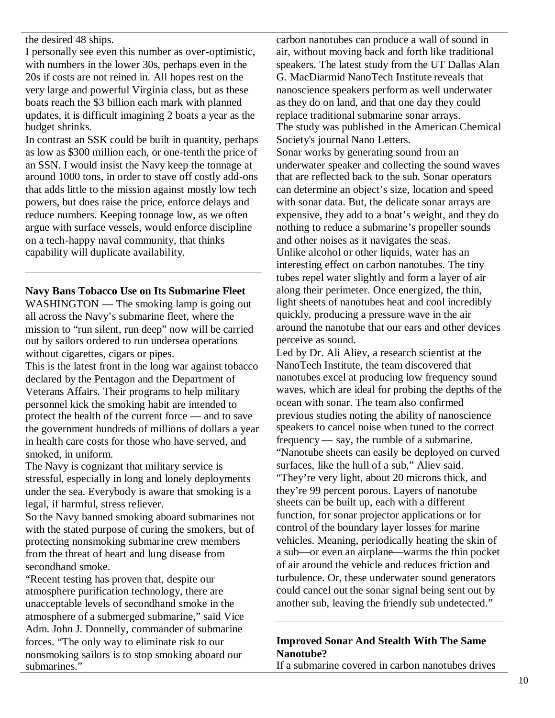the desired 48 ships.

I personally see even this number as over-optimistic, with numbers in the lower 30s, perhaps even in the 20s if costs are not reined in. All hopes rest on the very large and powerful Virginia class, but as these boats reach the \$3 billion each mark with planned updates, it is difficult imagining 2 boats a year as the budget shrinks.

In contrast an SSK could be built in quantity, perhaps as low as \$300 million each, or one-tenth the price of an SSN. I would insist the Navy keep the tonnage at around 1000 tons, in order to stave off costly add-ons that adds little to the mission against mostly low tech powers, but does raise the price, enforce delays and reduce numbers. Keeping tonnage low, as we often argue with surface vessels, would enforce discipline on a tech-happy naval community, that thinks capability will duplicate availability.

### **Navy Bans Tobacco Use on Its Submarine Fleet**

WASHINGTON — The smoking lamp is going out all across the Navy's submarine fleet, where the mission to "run silent, run deep" now will be carried out by sailors ordered to run undersea operations without cigarettes, cigars or pipes.

This is the latest front in the long war against tobacco declared by the Pentagon and the Department of Veterans Affairs. Their programs to help military personnel kick the smoking habit are intended to protect the health of the current force — and to save the government hundreds of millions of dollars a year in health care costs for those who have served, and smoked, in uniform.

The Navy is cognizant that military service is stressful, especially in long and lonely deployments under the sea. Everybody is aware that smoking is a legal, if harmful, stress reliever.

So the Navy banned smoking aboard submarines not with the stated purpose of curing the smokers, but of protecting nonsmoking submarine crew members from the threat of heart and lung disease from secondhand smoke.

"Recent testing has proven that, despite our atmosphere purification technology, there are unacceptable levels of secondhand smoke in the atmosphere of a submerged submarine," said Vice Adm. John J. Donnelly, commander of submarine forces. "The only way to eliminate risk to our nonsmoking sailors is to stop smoking aboard our submarines."

carbon nanotubes can produce a wall of sound in air, without moving back and forth like traditional speakers. The latest study from the UT Dallas Alan G. MacDiarmid NanoTech Institute reveals that nanoscience speakers perform as well underwater as they do on land, and that one day they could replace traditional submarine sonar arrays. The study was published in the American Chemical Society's journal Nano Letters. Sonar works by generating sound from an underwater speaker and collecting the sound waves that are reflected back to the sub. Sonar operators can determine an object's size, location and speed with sonar data. But, the delicate sonar arrays are expensive, they add to a boat's weight, and they do nothing to reduce a submarine's propeller sounds and other noises as it navigates the seas. Unlike alcohol or other liquids, water has an interesting effect on carbon nanotubes. The tiny tubes repel water slightly and form a layer of air along their perimeter. Once energized, the thin, light sheets of nanotubes heat and cool incredibly quickly, producing a pressure wave in the air around the nanotube that our ears and other devices perceive as sound.

Led by Dr. Ali Aliev, a research scientist at the NanoTech Institute, the team discovered that nanotubes excel at producing low frequency sound waves, which are ideal for probing the depths of the ocean with sonar. The team also confirmed previous studies noting the ability of nanoscience speakers to cancel noise when tuned to the correct frequency— say, the rumble of a submarine. "Nanotube sheets can easily be deployed on curved surfaces, like the hull of a sub," Aliev said. "They're very light, about 20 microns thick, and they're 99 percent porous. Layers of nanotube sheets can be built up, each with a different function, for sonar projector applications or for control of the boundary layer losses for marine vehicles. Meaning, periodically heating the skin of a sub—or even an airplane—warms the thin pocket of air around the vehicle and reduces friction and turbulence. Or, these underwater sound generators could cancel out the sonar signal being sent out by another sub, leaving the friendly sub undetected."

## **Improved Sonar And Stealth With The Same Nanotube?**

If a submarine covered in carbon nanotubes drives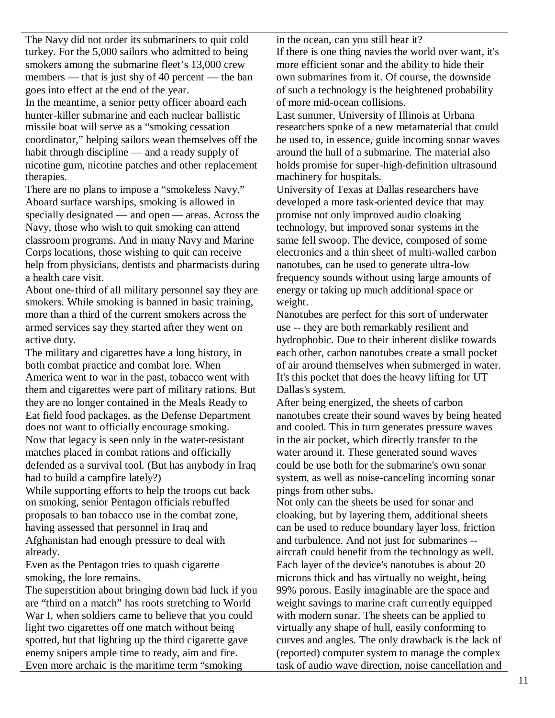The Navy did not order its submariners to quit cold turkey. For the 5,000 sailors who admitted to being smokers among the submarine fleet's 13,000 crew members — that is just shy of 40 percent — the ban goes into effect at the end of the year.

In the meantime, a senior petty officer aboard each hunter-killer submarine and each nuclear ballistic missile boat will serve as a "smoking cessation coordinator," helping sailors wean themselves off the habit through discipline — and a ready supply of nicotine gum, nicotine patches and other replacement therapies.

There are no plans to impose a "smokeless Navy." Aboard surface warships, smoking is allowed in specially designated — and open — areas. Across the Navy, those who wish to quit smoking can attend classroom programs. And in many Navy and Marine Corps locations, those wishing to quit can receive help from physicians, dentists and pharmacists during a health care visit.

About one-third of all military personnel say they are smokers. While smoking is banned in basic training, more than a third of the current smokers across the armed services say they started after they went on active duty.

The military and cigarettes have a long history, in both combat practice and combat lore. When America went to war in the past, tobacco went with them and cigarettes were part of military rations. But they are no longer contained in the Meals Ready to Eat field food packages, as the Defense Department does not want to officially encourage smoking. Now that legacy is seen only in the water-resistant matches placed in combat rations and officially defended as a survival tool. (But has anybody in Iraq had to build a campfire lately?)

While supporting efforts to help the troops cut back on smoking, senior Pentagon officials rebuffed proposals to ban tobacco use in the combat zone, having assessed that personnel in Iraq and Afghanistan had enough pressure to deal with already.

Even as the Pentagon tries to quash cigarette smoking, the lore remains.

The superstition about bringing down bad luck if you are "third on a match" has roots stretching to World War I, when soldiers came to believe that you could light two cigarettes off one match without being spotted, but that lighting up the third cigarette gave enemy snipers ample time to ready, aim and fire. Even more archaic is the maritime term "smoking

in the ocean, can you still hear it? If there is one thing navies the world over want, it's more efficient sonar and the ability to hide their own submarines from it. Of course, the downside of such a technology is the heightened probability of more mid-ocean collisions.

Last summer, University of Illinois at Urbana researchers spoke of a new metamaterial that could be used to, in essence, guide incoming sonar waves around the hull of a submarine. The material also holds promise for super-high-definition ultrasound machinery for hospitals.

University of Texas at Dallas researchers have developed a more task-oriented device that may promise not only improved audio cloaking technology, but improved sonar systems in the same fell swoop. The device, composed of some electronics and a thin sheet of multi-walled carbon nanotubes, can be used to generate ultra-low frequency sounds without using large amounts of energy or taking up much additional space or weight.

Nanotubes are perfect for this sort of underwater use -- they are both remarkably resilient and hydrophobic. Due to their inherent dislike towards each other, carbon nanotubes create a small pocket of air around themselves when submerged in water. It's this pocket that does the heavy lifting for UT Dallas's system.

After being energized, the sheets of carbon nanotubes create their sound waves by being heated and cooled. This in turn generates pressure waves in the air pocket, which directly transfer to the water around it. These generated sound waves could be use both for the submarine's own sonar system, as well as noise-canceling incoming sonar pings from other subs.

Not only can the sheets be used for sonar and cloaking, but by layering them, additional sheets can be used to reduce boundary layer loss, friction and turbulence. And not just for submarines -aircraft could benefit from the technology as well. Each layer of the device's nanotubes is about 20 microns thick and has virtually no weight, being 99% porous. Easily imaginable are the space and weight savings to marine craft currently equipped with modern sonar. The sheets can be applied to virtually any shape of hull, easily conforming to curves and angles. The only drawback is the lack of (reported) computer system to manage the complex task of audio wave direction, noise cancellation and